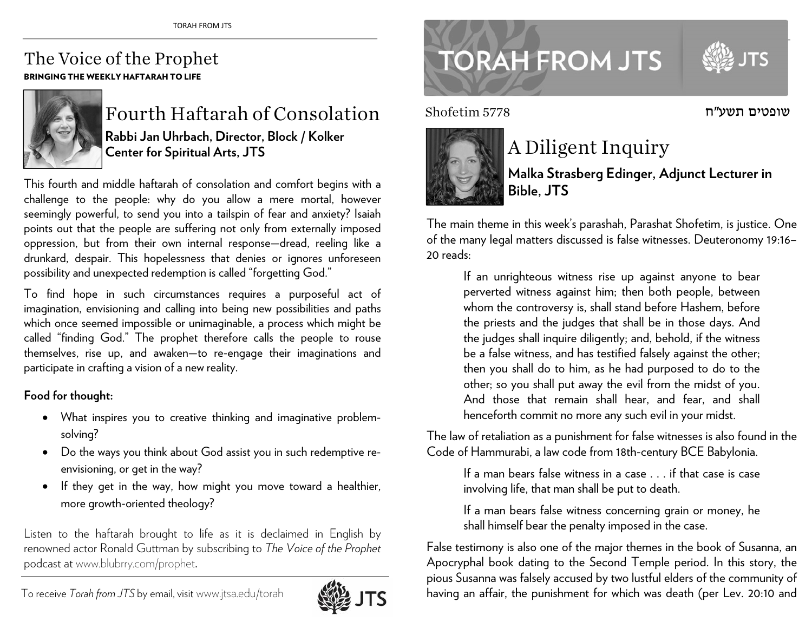## The Voice of the Prophet BRINGING THE WEEKLY HAFTARAH TO LIFE



Fourth Haftarah of Consolation **Rabbi Jan Uhrbach, Director, Block / Kolker Center for Spiritual Arts, JTS** 

This fourth and middle haftarah of consolation and comfort begins with a challenge to the people: why do you allow a mere mortal, however seemingly powerful, to send you into a tailspin of fear and anxiety? Isaiah points out that the people are suffering not only from externally imposed oppression, but from their own internal response—dread, reeling like a drunkard, despair. This hopelessness that denies or ignores unforeseen possibility and unexpected redemption is called "forgetting God."

To find hope in such circumstances requires a purposeful act of imagination, envisioning and calling into being new possibilities and paths which once seemed impossible or unimaginable, a process which might be called "finding God." The prophet therefore calls the people to rouse themselves, rise up, and awaken—to re-engage their imaginations and participate in crafting a vision of a new reality.

## **Food for thought:**

- What inspires you to creative thinking and imaginative problemsolving?
- $\bullet$  Do the ways you think about God assist you in such redemptive reenvisioning, or get in the way?
- . If they get in the way, how might you move toward a healthier, more growth-oriented theology?

Listen to the haftarah brought to life as it is declaimed in English by renowned actor Ronald Guttman by subscribing to *The Voice of the Prophet* podcast at www.blubrry.com/prophet.



## **TORAH FROM JTS**

5778 Shofetim



## A Diligent Inquiry

**Malka Strasberg Edinger, Adjunct Lecturer in Bible, JTS** 

The main theme in this week's parashah, Parashat Shofetim, is justice. One of the many legal matters discussed is false witnesses. Deuteronomy 19:16– 20 reads:

If an unrighteous witness rise up against anyone to bear perverted witness against him; then both people, between whom the controversy is, shall stand before Hashem, before the priests and the judges that shall be in those days. And the judges shall inquire diligently; and, behold, if the witness be a false witness, and has testified falsely against the other; then you shall do to him, as he had purposed to do to the other; so you shall put away the evil from the midst of you. And those that remain shall hear, and fear, and shall henceforth commit no more any such evil in your midst.

The law of retaliation as a punishment for false witnesses is also found in the Code of Hammurabi, a law code from 18th-century BCE Babylonia.

If a man bears false witness in a case . . . if that case is case involving life, that man shall be put to death.

If a man bears false witness concerning grain or money, he shall himself bear the penalty imposed in the case.

False testimony is also one of the major themes in the book of Susanna, an Apocryphal book dating to the Second Temple period. In this story, the <sup>p</sup>ious Susanna was falsely accused by two lustful elders of the community of having an affair, the punishment for which was death (per Lev. 20:10 and

שופטים תשע"ח